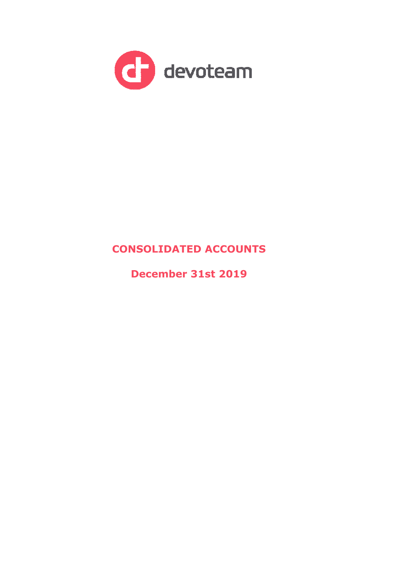

# **CONSOLIDATED ACCOUNTS**

**December 31st 2019**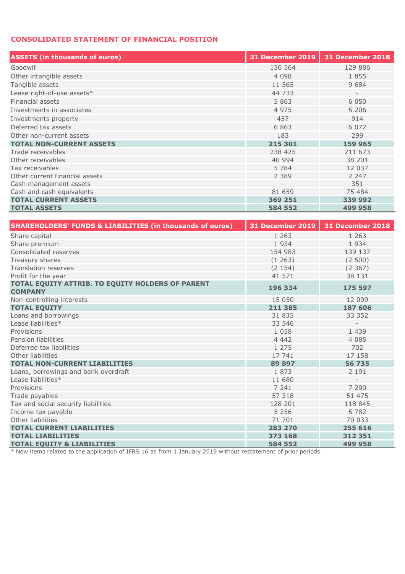## **CONSOLIDATED STATEMENT OF FINANCIAL POSITION**

| <b>ASSETS (in thousands of euros)</b> | <b>31 December 2019</b> | 31 December 2018         |
|---------------------------------------|-------------------------|--------------------------|
| Goodwill                              | 136 564                 | 129 886                  |
| Other intangible assets               | 4 0 9 8                 | 1855                     |
| Tangible assets                       | 11 565                  | 9 6 8 4                  |
| Lease right-of-use assets*            | 44 733                  | $\overline{\phantom{a}}$ |
| Financial assets                      | 5 8 6 3                 | 6 0 5 0                  |
| Investments in associates             | 4 9 7 5                 | 5 2 0 6                  |
| Investments property                  | 457                     | 914                      |
| Deferred tax assets                   | 6863                    | 6 0 7 2                  |
| Other non-current assets              | 183                     | 299                      |
| <b>TOTAL NON-CURRENT ASSETS</b>       | 215 301                 | 159 965                  |
| Trade receivables                     | 238 425                 | 211 673                  |
| Other receivables                     | 40 994                  | 38 201                   |
| Tax receivables                       | 5 7 8 4                 | 12 037                   |
| Other current financial assets        | 2 3 8 9                 | 2 2 4 7                  |
| Cash management assets                | $\qquad \qquad -$       | 351                      |
| Cash and cash equivalents             | 81 659                  | 75 484                   |
| <b>TOTAL CURRENT ASSETS</b>           | 369 251                 | 339 992                  |
| <b>TOTAL ASSETS</b>                   | 584 552                 | 499 958                  |

| <b>SHAREHOLDERS' FUNDS &amp; LIABILITIES (in thousands of euros)</b> | <b>31 December 2019</b> | 31 December 2018         |
|----------------------------------------------------------------------|-------------------------|--------------------------|
| Share capital                                                        | 1 2 6 3                 | 1 2 6 3                  |
| Share premium                                                        | 1934                    | 1934                     |
| Consolidated reserves                                                | 154 983                 | 139 137                  |
| Treasury shares                                                      | (1263)                  | (2500)                   |
| <b>Translation reserves</b>                                          | (2154)                  | (2, 367)                 |
| Profit for the year                                                  | 41 571                  | 38 131                   |
| TOTAL EQUITY ATTRIB. TO EQUITY HOLDERS OF PARENT<br><b>COMPANY</b>   | 196 334                 | 175 597                  |
| Non-controlling interests                                            | 15 050                  | 12 009                   |
| <b>TOTAL EQUITY</b>                                                  | 211 385                 | 187 606                  |
| Loans and borrowings                                                 | 31 835                  | 33 352                   |
| Lease liabilities*                                                   | 33 546                  |                          |
| Provisions                                                           | 1 0 5 8                 | 1 4 3 9                  |
| Pension liabilities                                                  | 4 4 4 2                 | 4 0 8 5                  |
| Deferred tax liabilities                                             | 1 2 7 5                 | 702                      |
| Other liabilities                                                    | 17 741                  | 17 158                   |
| <b>TOTAL NON-CURRENT LIABILITIES</b>                                 | 89 897                  | 56 735                   |
| Loans, borrowings and bank overdraft                                 | 1873                    | 2 1 9 1                  |
| Lease liabilities*                                                   | 11 680                  | $\overline{\phantom{a}}$ |
| Provisions                                                           | 7 241                   | 7 2 9 0                  |
| Trade payables                                                       | 57 318                  | 51 475                   |
| Tax and social security liabilities                                  | 128 201                 | 118 845                  |
| Income tax payable                                                   | 5 2 5 6                 | 5 7 8 2                  |
| Other liabilities                                                    | 71 701                  | 70 033                   |
| <b>TOTAL CURRENT LIABILITIES</b>                                     | 283 270                 | 255 616                  |
| <b>TOTAL LIABILITIES</b>                                             | 373 168                 | 312 351                  |
| <b>TOTAL EOUITY &amp; LIABILITIES</b>                                | 584 552                 | 499 958                  |

\* New items related to the application of IFRS 16 as from 1 January 2019 without restatement of prior periods.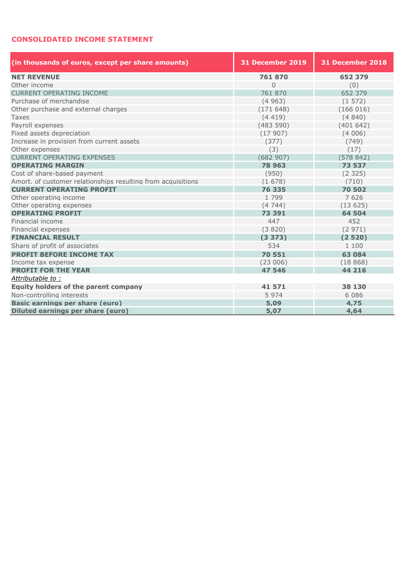## **CONSOLIDATED INCOME STATEMENT**

| (in thousands of euros, except per share amounts)            | <b>31 December 2019</b> | 31 December 2018 |  |  |  |
|--------------------------------------------------------------|-------------------------|------------------|--|--|--|
| <b>NET REVENUE</b>                                           | 761870                  | 652 379          |  |  |  |
| Other income                                                 | $\Omega$                | (0)              |  |  |  |
| <b>CURRENT OPERATING INCOME</b>                              | 761 870                 | 652 379          |  |  |  |
| Purchase of merchandise                                      | (4963)                  | (1572)           |  |  |  |
| Other purchase and external charges                          | (171648)                | (166016)         |  |  |  |
| <b>Taxes</b>                                                 | (4419)                  | (4840)           |  |  |  |
| Payroll expenses                                             | (483590)                | (401642)         |  |  |  |
| Fixed assets depreciation                                    | (17907)                 | (4006)           |  |  |  |
| Increase in provision from current assets                    | (377)                   | (749)            |  |  |  |
| Other expenses                                               | (3)                     | (17)             |  |  |  |
| <b>CURRENT OPERATING EXPENSES</b>                            | (682907)                | (578842)         |  |  |  |
| <b>OPERATING MARGIN</b>                                      | 78 963                  | 73 537           |  |  |  |
| Cost of share-based payment                                  | (950)                   | (2325)           |  |  |  |
| Amort. of customer relationships resulting from acquisitions | (1678)                  | (710)            |  |  |  |
| <b>CURRENT OPERATING PROFIT</b>                              | 76 335                  | 70 502           |  |  |  |
| Other operating income                                       | 1 7 9 9                 | 7626             |  |  |  |
| Other operating expenses                                     | (4744)                  | (13625)          |  |  |  |
| <b>OPERATING PROFIT</b>                                      | 73 391                  | 64 504           |  |  |  |
| Financial income                                             | 447                     | 452              |  |  |  |
| Financial expenses                                           | (3820)                  | (2971)           |  |  |  |
| <b>FINANCIAL RESULT</b>                                      | (3373)                  | (2520)           |  |  |  |
| Share of profit of associates                                | 534                     | 1 100            |  |  |  |
| <b>PROFIT BEFORE INCOME TAX</b>                              | 70 551                  | 63 084           |  |  |  |
| Income tax expense                                           | (23006)                 | (18868)          |  |  |  |
| <b>PROFIT FOR THE YEAR</b>                                   | 47 546                  | 44 216           |  |  |  |
| Attributable to:                                             |                         |                  |  |  |  |
| <b>Equity holders of the parent company</b>                  | 41 571                  | 38 130           |  |  |  |
| Non-controlling interests                                    | 5 9 7 4                 | 6 0 8 6          |  |  |  |
| <b>Basic earnings per share (euro)</b>                       | 5,09                    | 4,75             |  |  |  |
| Diluted earnings per share (euro)                            | 5,07                    | 4,64             |  |  |  |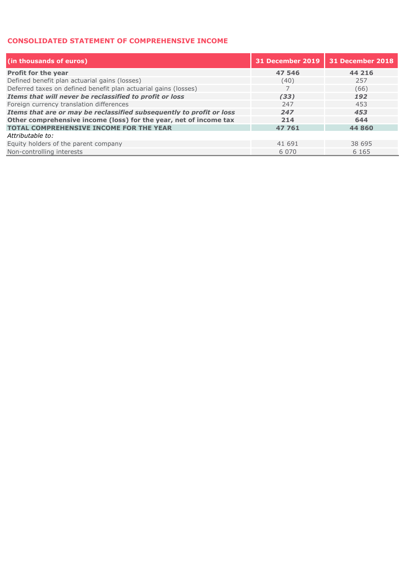### **CONSOLIDATED STATEMENT OF COMPREHENSIVE INCOME**

| (in thousands of euros)                                              | <b>31 December 2019</b> | 31 December 2018 |
|----------------------------------------------------------------------|-------------------------|------------------|
| <b>Profit for the year</b>                                           | 47 546                  | 44 216           |
| Defined benefit plan actuarial gains (losses)                        | (40)                    | 257              |
| Deferred taxes on defined benefit plan actuarial gains (losses)      |                         | (66)             |
| Items that will never be reclassified to profit or loss              | (33)                    | 192              |
| Foreign currency translation differences                             | 247                     | 453              |
| Items that are or may be reclassified subsequently to profit or loss | 247                     | 453              |
| Other comprehensive income (loss) for the year, net of income tax    | 214                     | 644              |
| <b>TOTAL COMPREHENSIVE INCOME FOR THE YEAR</b>                       | 47 761                  | 44 860           |
| Attributable to:                                                     |                         |                  |
| Equity holders of the parent company                                 | 41 691                  | 38 695           |
| Non-controlling interests                                            | 6 0 7 0                 | 6 1 6 5          |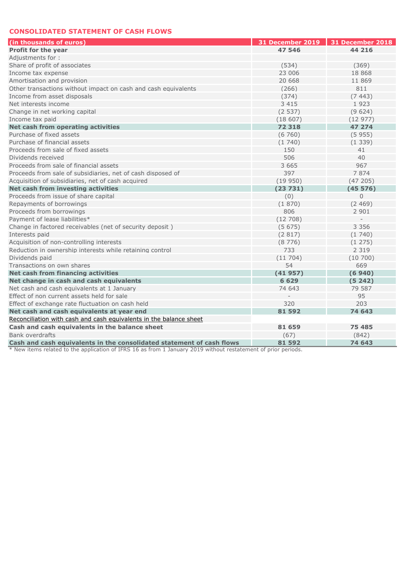#### **CONSOLIDATED STATEMENT OF CASH FLOWS**

| (in thousands of euros)                                               | 31 December 2019 | 31 December 2018 |
|-----------------------------------------------------------------------|------------------|------------------|
| <b>Profit for the year</b>                                            | 47 546           | 44 216           |
| Adjustments for:                                                      |                  |                  |
| Share of profit of associates                                         | (534)            | (369)            |
| Income tax expense                                                    | 23 006           | 18 8 6 8         |
| Amortisation and provision                                            | 20 668           | 11 869           |
| Other transactions without impact on cash and cash equivalents        | (266)            | 811              |
| Income from asset disposals                                           | (374)            | (7443)           |
| Net interests income                                                  | 3 4 1 5          | 1923             |
| Change in net working capital                                         | (2537)           | (9624)           |
| Income tax paid                                                       | (18607)          | (12977)          |
| Net cash from operating activities                                    | 72 318           | 47 274           |
| Purchase of fixed assets                                              | (6760)           | (5955)           |
| Purchase of financial assets                                          | (1740)           | (1339)           |
| Proceeds from sale of fixed assets                                    | 150              | 41               |
| Dividends received                                                    | 506              | 40               |
| Proceeds from sale of financial assets                                | 3 6 6 5          | 967              |
| Proceeds from sale of subsidiaries, net of cash disposed of           | 397              | 7 8 7 4          |
| Acquisition of subsidiaries, net of cash acquired                     | (19950)          | (47205)          |
| Net cash from investing activities                                    | (23731)          | (45576)          |
| Proceeds from issue of share capital                                  | (0)              | $\Omega$         |
| Repayments of borrowings                                              | (1870)           | (2469)           |
| Proceeds from borrowings                                              | 806              | 2 9 0 1          |
| Payment of lease liabilities*                                         | (12708)          |                  |
| Change in factored receivables (net of security deposit)              | (5675)           | 3 3 5 6          |
| Interests paid                                                        | (2817)           | (1740)           |
| Acquisition of non-controlling interests                              | (8776)           | (1275)           |
| Reduction in ownership interests while retaining control              | 733              | 2 3 1 9          |
| Dividends paid                                                        | (11704)          | (10700)          |
| Transactions on own shares                                            | 54               | 669              |
| <b>Net cash from financing activities</b>                             | (41957)          | (6940)           |
| Net change in cash and cash equivalents                               | 6 6 2 9          | (5242)           |
| Net cash and cash equivalents at 1 January                            | 74 643           | 79 587           |
| Effect of non current assets held for sale                            |                  | 95               |
| Effect of exchange rate fluctuation on cash held                      | 320              | 203              |
| Net cash and cash equivalents at year end                             | 81 592           | 74 643           |
| Reconciliation with cash and cash equivalents in the balance sheet    |                  |                  |
| Cash and cash equivalents in the balance sheet                        | 81 659           | 75 485           |
| <b>Bank overdrafts</b>                                                | (67)             | (842)            |
| Cash and cash equivalents in the consolidated statement of cash flows | 81 592           | 74 643           |

\* New items related to the application of IFRS 16 as from 1 January 2019 without restatement of prior periods.